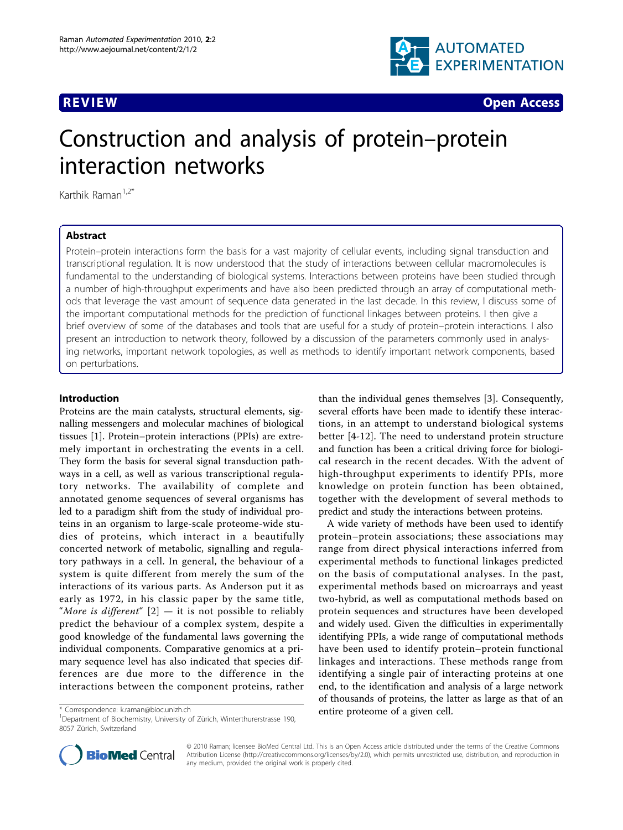

**REVIEW CONSTRUCTION CONSTRUCTION CONSTRUCTS** 

# Construction and analysis of protein–protein interaction networks

Karthik Raman $1,2^*$ 

# Abstract

Protein–protein interactions form the basis for a vast majority of cellular events, including signal transduction and transcriptional regulation. It is now understood that the study of interactions between cellular macromolecules is fundamental to the understanding of biological systems. Interactions between proteins have been studied through a number of high-throughput experiments and have also been predicted through an array of computational methods that leverage the vast amount of sequence data generated in the last decade. In this review, I discuss some of the important computational methods for the prediction of functional linkages between proteins. I then give a brief overview of some of the databases and tools that are useful for a study of protein–protein interactions. I also present an introduction to network theory, followed by a discussion of the parameters commonly used in analysing networks, important network topologies, as well as methods to identify important network components, based on perturbations.

# Introduction

Proteins are the main catalysts, structural elements, signalling messengers and molecular machines of biological tissues [[1\]](#page-8-0). Protein–protein interactions (PPIs) are extremely important in orchestrating the events in a cell. They form the basis for several signal transduction pathways in a cell, as well as various transcriptional regulatory networks. The availability of complete and annotated genome sequences of several organisms has led to a paradigm shift from the study of individual proteins in an organism to large-scale proteome-wide studies of proteins, which interact in a beautifully concerted network of metabolic, signalling and regulatory pathways in a cell. In general, the behaviour of a system is quite different from merely the sum of the interactions of its various parts. As Anderson put it as early as 1972, in his classic paper by the same title, "More is different"  $[2]$  $[2]$  $[2]$  — it is not possible to reliably predict the behaviour of a complex system, despite a good knowledge of the fundamental laws governing the individual components. Comparative genomics at a primary sequence level has also indicated that species differences are due more to the difference in the interactions between the component proteins, rather

than the individual genes themselves [[3\]](#page-8-0). Consequently, several efforts have been made to identify these interactions, in an attempt to understand biological systems better [[4-12](#page-8-0)]. The need to understand protein structure and function has been a critical driving force for biological research in the recent decades. With the advent of high-throughput experiments to identify PPIs, more knowledge on protein function has been obtained, together with the development of several methods to predict and study the interactions between proteins.

A wide variety of methods have been used to identify protein–protein associations; these associations may range from direct physical interactions inferred from experimental methods to functional linkages predicted on the basis of computational analyses. In the past, experimental methods based on microarrays and yeast two-hybrid, as well as computational methods based on protein sequences and structures have been developed and widely used. Given the difficulties in experimentally identifying PPIs, a wide range of computational methods have been used to identify protein–protein functional linkages and interactions. These methods range from identifying a single pair of interacting proteins at one end, to the identification and analysis of a large network of thousands of proteins, the latter as large as that of an \* Correspondence: [k.raman@bioc.unizh.ch](mailto:k.raman@bioc.unizh.ch)<br>
a correspondence: k.raman@bioc.unizh.ch<br>
a correspondence: k.raman@bioc.unizh.ch



© 2010 Raman; licensee BioMed Central Ltd. This is an Open Access article distributed under the terms of the Creative Commons Attribution License [\(http://creativecommons.org/licenses/by/2.0](http://creativecommons.org/licenses/by/2.0)), which permits unrestricted use, distribution, and reproduction in any medium, provided the original work is properly cited.

<sup>&</sup>lt;sup>1</sup>Department of Biochemistry, University of Zürich, Winterthurerstrasse 190, 8057 Zürich, Switzerland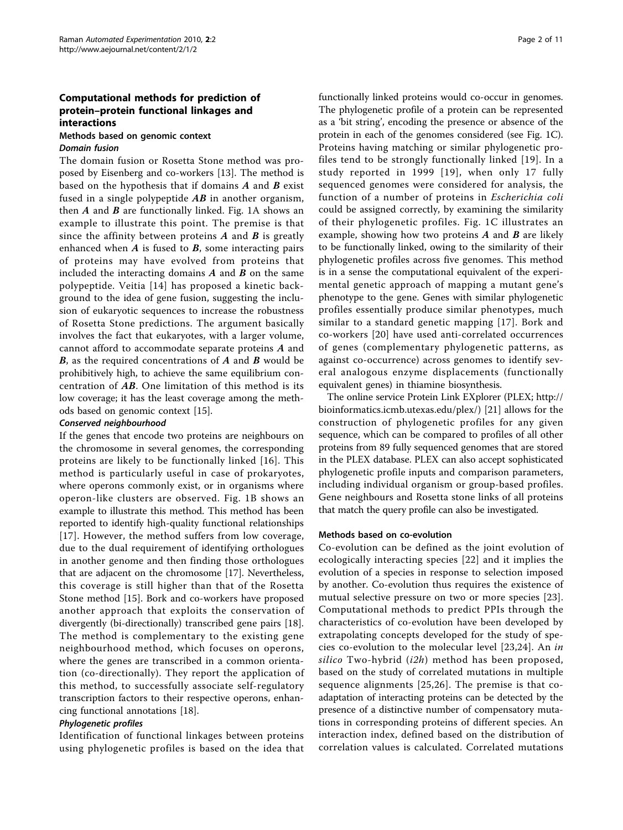# Computational methods for prediction of protein–protein functional linkages and interactions

# Methods based on genomic context Domain fusion

The domain fusion or Rosetta Stone method was proposed by Eisenberg and co-workers [[13\]](#page-8-0). The method is based on the hypothesis that if domains  $A$  and  $B$  exist fused in a single polypeptide  $AB$  in another organism, then  $A$  and  $B$  are functionally linked. Fig. [1A](#page-2-0) shows an example to illustrate this point. The premise is that since the affinity between proteins  $A$  and  $B$  is greatly enhanced when  $\vec{A}$  is fused to  $\vec{B}$ , some interacting pairs of proteins may have evolved from proteins that included the interacting domains  $A$  and  $B$  on the same polypeptide. Veitia [\[14\]](#page-8-0) has proposed a kinetic background to the idea of gene fusion, suggesting the inclusion of eukaryotic sequences to increase the robustness of Rosetta Stone predictions. The argument basically involves the fact that eukaryotes, with a larger volume, cannot afford to accommodate separate proteins A and  $B$ , as the required concentrations of  $A$  and  $B$  would be prohibitively high, to achieve the same equilibrium concentration of AB. One limitation of this method is its low coverage; it has the least coverage among the methods based on genomic context [\[15](#page-8-0)].

# Conserved neighbourhood

If the genes that encode two proteins are neighbours on the chromosome in several genomes, the corresponding proteins are likely to be functionally linked [[16](#page-8-0)]. This method is particularly useful in case of prokaryotes, where operons commonly exist, or in organisms where operon-like clusters are observed. Fig. [1B](#page-2-0) shows an example to illustrate this method. This method has been reported to identify high-quality functional relationships [[17](#page-8-0)]. However, the method suffers from low coverage, due to the dual requirement of identifying orthologues in another genome and then finding those orthologues that are adjacent on the chromosome [\[17](#page-8-0)]. Nevertheless, this coverage is still higher than that of the Rosetta Stone method [\[15](#page-8-0)]. Bork and co-workers have proposed another approach that exploits the conservation of divergently (bi-directionally) transcribed gene pairs [\[18](#page-8-0)]. The method is complementary to the existing gene neighbourhood method, which focuses on operons, where the genes are transcribed in a common orientation (co-directionally). They report the application of this method, to successfully associate self-regulatory transcription factors to their respective operons, enhancing functional annotations [\[18](#page-8-0)].

# Phylogenetic profiles

Identification of functional linkages between proteins using phylogenetic profiles is based on the idea that functionally linked proteins would co-occur in genomes. The phylogenetic profile of a protein can be represented as a 'bit string', encoding the presence or absence of the protein in each of the genomes considered (see Fig. [1C](#page-2-0)). Proteins having matching or similar phylogenetic profiles tend to be strongly functionally linked [[19](#page-8-0)]. In a study reported in 1999 [[19\]](#page-8-0), when only 17 fully sequenced genomes were considered for analysis, the function of a number of proteins in Escherichia coli could be assigned correctly, by examining the similarity of their phylogenetic profiles. Fig. [1C](#page-2-0) illustrates an example, showing how two proteins  $A$  and  $B$  are likely to be functionally linked, owing to the similarity of their phylogenetic profiles across five genomes. This method is in a sense the computational equivalent of the experimental genetic approach of mapping a mutant gene's phenotype to the gene. Genes with similar phylogenetic profiles essentially produce similar phenotypes, much similar to a standard genetic mapping [[17](#page-8-0)]. Bork and co-workers [[20](#page-8-0)] have used anti-correlated occurrences of genes (complementary phylogenetic patterns, as against co-occurrence) across genomes to identify several analogous enzyme displacements (functionally equivalent genes) in thiamine biosynthesis.

The online service Protein Link EXplorer (PLEX; [http://](http://www.cytoscape.org/) [bioinformatics.icmb.utexas.edu/plex/\)](http://www.cytoscape.org/) [\[21](#page-8-0)] allows for the construction of phylogenetic profiles for any given sequence, which can be compared to profiles of all other proteins from 89 fully sequenced genomes that are stored in the PLEX database. PLEX can also accept sophisticated phylogenetic profile inputs and comparison parameters, including individual organism or group-based profiles. Gene neighbours and Rosetta stone links of all proteins that match the query profile can also be investigated.

# Methods based on co-evolution

Co-evolution can be defined as the joint evolution of ecologically interacting species [[22](#page-8-0)] and it implies the evolution of a species in response to selection imposed by another. Co-evolution thus requires the existence of mutual selective pressure on two or more species [[23](#page-9-0)]. Computational methods to predict PPIs through the characteristics of co-evolution have been developed by extrapolating concepts developed for the study of species co-evolution to the molecular level [[23](#page-9-0),[24\]](#page-9-0). An in silico Two-hybrid  $(i2h)$  method has been proposed, based on the study of correlated mutations in multiple sequence alignments [\[25,26\]](#page-9-0). The premise is that coadaptation of interacting proteins can be detected by the presence of a distinctive number of compensatory mutations in corresponding proteins of different species. An interaction index, defined based on the distribution of correlation values is calculated. Correlated mutations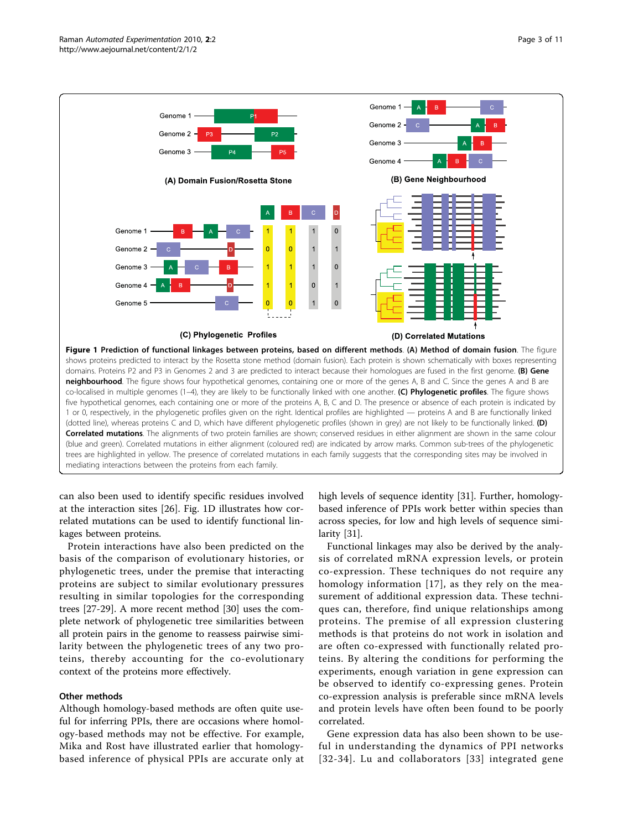<span id="page-2-0"></span>

can also been used to identify specific residues involved at the interaction sites [[26\]](#page-9-0). Fig. 1D illustrates how correlated mutations can be used to identify functional linkages between proteins.

Protein interactions have also been predicted on the basis of the comparison of evolutionary histories, or phylogenetic trees, under the premise that interacting proteins are subject to similar evolutionary pressures resulting in similar topologies for the corresponding trees [[27](#page-9-0)-[29\]](#page-9-0). A more recent method [\[30\]](#page-9-0) uses the complete network of phylogenetic tree similarities between all protein pairs in the genome to reassess pairwise similarity between the phylogenetic trees of any two proteins, thereby accounting for the co-evolutionary context of the proteins more effectively.

### Other methods

Although homology-based methods are often quite useful for inferring PPIs, there are occasions where homology-based methods may not be effective. For example, Mika and Rost have illustrated earlier that homologybased inference of physical PPIs are accurate only at high levels of sequence identity [\[31](#page-9-0)]. Further, homologybased inference of PPIs work better within species than across species, for low and high levels of sequence similarity [[31\]](#page-9-0).

Functional linkages may also be derived by the analysis of correlated mRNA expression levels, or protein co-expression. These techniques do not require any homology information [[17\]](#page-8-0), as they rely on the measurement of additional expression data. These techniques can, therefore, find unique relationships among proteins. The premise of all expression clustering methods is that proteins do not work in isolation and are often co-expressed with functionally related proteins. By altering the conditions for performing the experiments, enough variation in gene expression can be observed to identify co-expressing genes. Protein co-expression analysis is preferable since mRNA levels and protein levels have often been found to be poorly correlated.

Gene expression data has also been shown to be useful in understanding the dynamics of PPI networks [[32](#page-9-0)-[34\]](#page-9-0). Lu and collaborators [[33\]](#page-9-0) integrated gene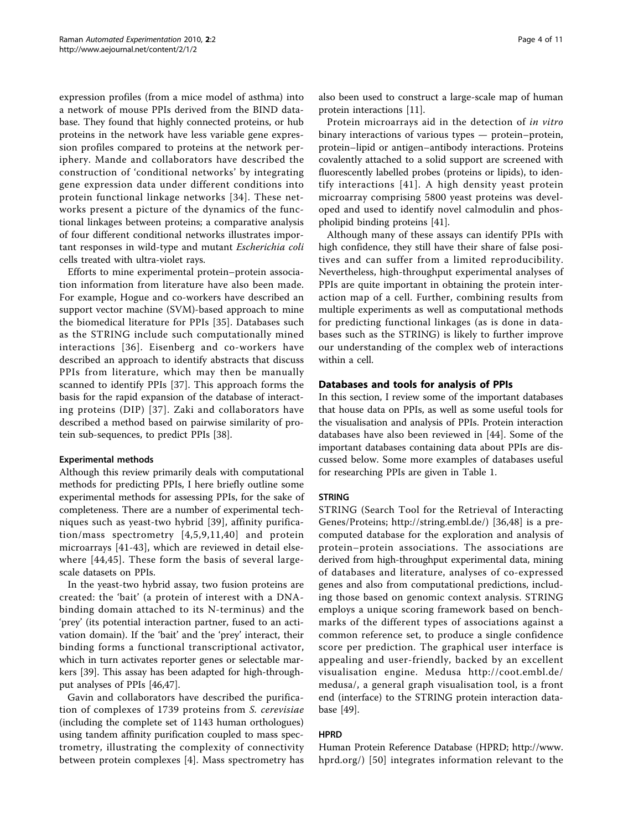expression profiles (from a mice model of asthma) into a network of mouse PPIs derived from the BIND database. They found that highly connected proteins, or hub proteins in the network have less variable gene expression profiles compared to proteins at the network periphery. Mande and collaborators have described the construction of 'conditional networks' by integrating gene expression data under different conditions into protein functional linkage networks [[34](#page-9-0)]. These networks present a picture of the dynamics of the functional linkages between proteins; a comparative analysis of four different conditional networks illustrates important responses in wild-type and mutant Escherichia coli cells treated with ultra-violet rays.

Efforts to mine experimental protein–protein association information from literature have also been made. For example, Hogue and co-workers have described an support vector machine (SVM)-based approach to mine the biomedical literature for PPIs [[35\]](#page-9-0). Databases such as the STRING include such computationally mined interactions [[36\]](#page-9-0). Eisenberg and co-workers have described an approach to identify abstracts that discuss PPIs from literature, which may then be manually scanned to identify PPIs [\[37](#page-9-0)]. This approach forms the basis for the rapid expansion of the database of interacting proteins (DIP) [[37](#page-9-0)]. Zaki and collaborators have described a method based on pairwise similarity of protein sub-sequences, to predict PPIs [[38\]](#page-9-0).

### Experimental methods

Although this review primarily deals with computational methods for predicting PPIs, I here briefly outline some experimental methods for assessing PPIs, for the sake of completeness. There are a number of experimental techniques such as yeast-two hybrid [[39\]](#page-9-0), affinity purification/mass spectrometry [[4](#page-8-0),[5](#page-8-0),[9](#page-8-0),[11,](#page-8-0)[40\]](#page-9-0) and protein microarrays [[41-43\]](#page-9-0), which are reviewed in detail elsewhere [[44,45](#page-9-0)]. These form the basis of several largescale datasets on PPIs.

In the yeast-two hybrid assay, two fusion proteins are created: the 'bait' (a protein of interest with a DNAbinding domain attached to its N-terminus) and the 'prey' (its potential interaction partner, fused to an activation domain). If the 'bait' and the 'prey' interact, their binding forms a functional transcriptional activator, which in turn activates reporter genes or selectable markers [[39\]](#page-9-0). This assay has been adapted for high-throughput analyses of PPIs [\[46,47](#page-9-0)].

Gavin and collaborators have described the purification of complexes of 1739 proteins from S. cerevisiae (including the complete set of 1143 human orthologues) using tandem affinity purification coupled to mass spectrometry, illustrating the complexity of connectivity between protein complexes [\[4](#page-8-0)]. Mass spectrometry has also been used to construct a large-scale map of human protein interactions [[11](#page-8-0)].

Protein microarrays aid in the detection of in vitro binary interactions of various types — protein–protein, protein–lipid or antigen–antibody interactions. Proteins covalently attached to a solid support are screened with fluorescently labelled probes (proteins or lipids), to identify interactions [[41](#page-9-0)]. A high density yeast protein microarray comprising 5800 yeast proteins was developed and used to identify novel calmodulin and phospholipid binding proteins [\[41\]](#page-9-0).

Although many of these assays can identify PPIs with high confidence, they still have their share of false positives and can suffer from a limited reproducibility. Nevertheless, high-throughput experimental analyses of PPIs are quite important in obtaining the protein interaction map of a cell. Further, combining results from multiple experiments as well as computational methods for predicting functional linkages (as is done in databases such as the STRING) is likely to further improve our understanding of the complex web of interactions within a cell.

# Databases and tools for analysis of PPIs

In this section, I review some of the important databases that house data on PPIs, as well as some useful tools for the visualisation and analysis of PPIs. Protein interaction databases have also been reviewed in [\[44](#page-9-0)]. Some of the important databases containing data about PPIs are discussed below. Some more examples of databases useful for researching PPIs are given in Table [1](#page-4-0).

### STRING

STRING (Search Tool for the Retrieval of Interacting Genes/Proteins; [http://string.embl.de/](http://sourceforge.net/projects/lgl)) [\[36](#page-9-0),[48\]](#page-9-0) is a precomputed database for the exploration and analysis of protein–protein associations. The associations are derived from high-throughput experimental data, mining of databases and literature, analyses of co-expressed genes and also from computational predictions, including those based on genomic context analysis. STRING employs a unique scoring framework based on benchmarks of the different types of associations against a common reference set, to produce a single confidence score per prediction. The graphical user interface is appealing and user-friendly, backed by an excellent visualisation engine. Medusa [http://coot.embl.de/](http://biodata.mshri.on.ca/osprey/servlet/Index) [medusa/](http://biodata.mshri.on.ca/osprey/servlet/Index), a general graph visualisation tool, is a front end (interface) to the STRING protein interaction database [[49](#page-9-0)].

### **HPRD**

Human Protein Reference Database (HPRD; [http://www.](http://vlado.fmf.uni-lj.si/pub/networks/pajek/) [hprd.org/\)](http://vlado.fmf.uni-lj.si/pub/networks/pajek/) [[50\]](#page-9-0) integrates information relevant to the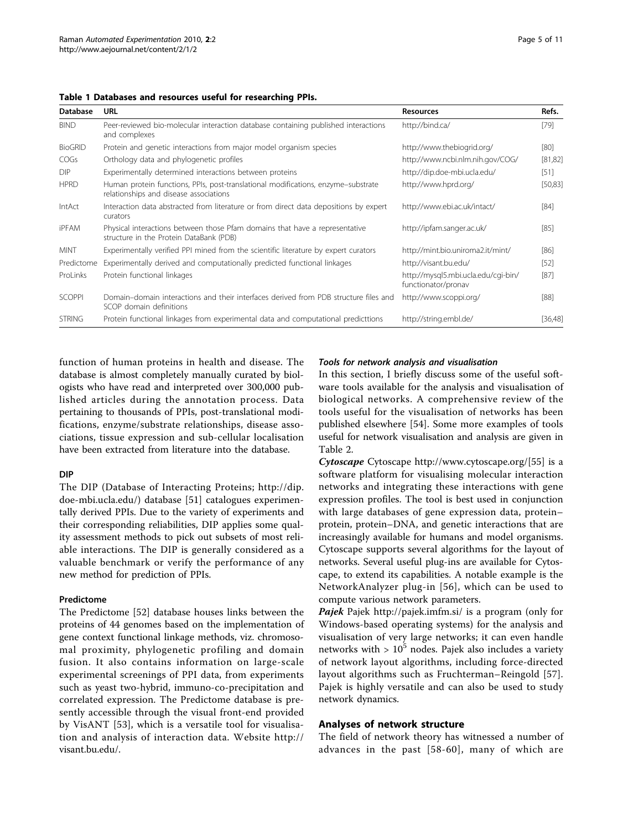<span id="page-4-0"></span>

|  |  |  |  |  |  |  | Table 1 Databases and resources useful for researching PPIs. |  |
|--|--|--|--|--|--|--|--------------------------------------------------------------|--|
|--|--|--|--|--|--|--|--------------------------------------------------------------|--|

| <b>Database</b> | URL                                                                                                                         | <b>Resources</b>                                           | Refs.    |
|-----------------|-----------------------------------------------------------------------------------------------------------------------------|------------------------------------------------------------|----------|
| <b>BIND</b>     | Peer-reviewed bio-molecular interaction database containing published interactions<br>and complexes                         | http://bind.ca/                                            | [79]     |
| <b>BioGRID</b>  | Protein and genetic interactions from major model organism species                                                          | http://www.thebiogrid.org/                                 | [80]     |
| COGs            | Orthology data and phylogenetic profiles                                                                                    | http://www.ncbi.nlm.nih.gov/COG/                           | [81, 82] |
| <b>DIP</b>      | Experimentally determined interactions between proteins                                                                     | http://dip.doe-mbi.ucla.edu/                               | [51]     |
| <b>HPRD</b>     | Human protein functions, PPIs, post-translational modifications, enzyme-substrate<br>relationships and disease associations | http://www.hprd.org/                                       | [50, 83] |
| IntAct          | Interaction data abstracted from literature or from direct data depositions by expert<br>curators                           | http://www.ebi.ac.uk/intact/                               | [84]     |
| <b>iPFAM</b>    | Physical interactions between those Pfam domains that have a representative<br>structure in the Protein DataBank (PDB)      | http://ipfam.sanger.ac.uk/                                 | [85]     |
| <b>MINT</b>     | Experimentally verified PPI mined from the scientific literature by expert curators                                         | http://mint.bio.uniroma2.it/mint/                          | [86]     |
| Predictome      | Experimentally derived and computationally predicted functional linkages                                                    | http://visant.bu.edu/                                      | $[52]$   |
| ProLinks        | Protein functional linkages                                                                                                 | http://mysql5.mbi.ucla.edu/cqi-bin/<br>functionator/pronav | [87]     |
| <b>SCOPPI</b>   | Domain-domain interactions and their interfaces derived from PDB structure files and<br>SCOP domain definitions             | http://www.scoppi.org/                                     | [88]     |
| <b>STRING</b>   | Protein functional linkages from experimental data and computational predicttions                                           | http://string.embl.de/                                     | [36,48]  |

function of human proteins in health and disease. The database is almost completely manually curated by biologists who have read and interpreted over 300,000 published articles during the annotation process. Data pertaining to thousands of PPIs, post-translational modifications, enzyme/substrate relationships, disease associations, tissue expression and sub-cellular localisation have been extracted from literature into the database.

### DIP

The DIP (Database of Interacting Proteins; [http://dip.](http://visant.bu.edu/) [doe-mbi.ucla.edu/\)](http://visant.bu.edu/) database [\[51](#page-9-0)] catalogues experimentally derived PPIs. Due to the variety of experiments and their corresponding reliabilities, DIP applies some quality assessment methods to pick out subsets of most reliable interactions. The DIP is generally considered as a valuable benchmark or verify the performance of any new method for prediction of PPIs.

#### Predictome

The Predictome [\[52](#page-9-0)] database houses links between the proteins of 44 genomes based on the implementation of gene context functional linkage methods, viz. chromosomal proximity, phylogenetic profiling and domain fusion. It also contains information on large-scale experimental screenings of PPI data, from experiments such as yeast two-hybrid, immuno-co-precipitation and correlated expression. The Predictome database is presently accessible through the visual front-end provided by VisANT [[53\]](#page-9-0), which is a versatile tool for visualisation and analysis of interaction data. Website [http://](http://www.yworks.com/products/yed/) [visant.bu.edu/](http://www.yworks.com/products/yed/).

#### Tools for network analysis and visualisation

In this section, I briefly discuss some of the useful software tools available for the analysis and visualisation of biological networks. A comprehensive review of the tools useful for the visualisation of networks has been published elsewhere [\[54](#page-9-0)]. Some more examples of tools useful for network visualisation and analysis are given in Table [2.](#page-5-0)

Cytoscape Cytoscape [http://www.cytoscape.org/\[](http://mint.bio.uniroma2.it/mint/)[55\]](#page-9-0) is a software platform for visualising molecular interaction networks and integrating these interactions with gene expression profiles. The tool is best used in conjunction with large databases of gene expression data, protein– protein, protein–DNA, and genetic interactions that are increasingly available for humans and model organisms. Cytoscape supports several algorithms for the layout of networks. Several useful plug-ins are available for Cytoscape, to extend its capabilities. A notable example is the NetworkAnalyzer plug-in [[56](#page-9-0)], which can be used to compute various network parameters.

Pajek Pajek [http://pajek.imfm.si/](http://visant.bu.edu/) is a program (only for Windows-based operating systems) for the analysis and visualisation of very large networks; it can even handle networks with  $> 10^5$  nodes. Pajek also includes a variety of network layout algorithms, including force-directed layout algorithms such as Fruchterman–Reingold [[57](#page-9-0)]. Pajek is highly versatile and can also be used to study network dynamics.

# Analyses of network structure

The field of network theory has witnessed a number of advances in the past [[58-60](#page-9-0)], many of which are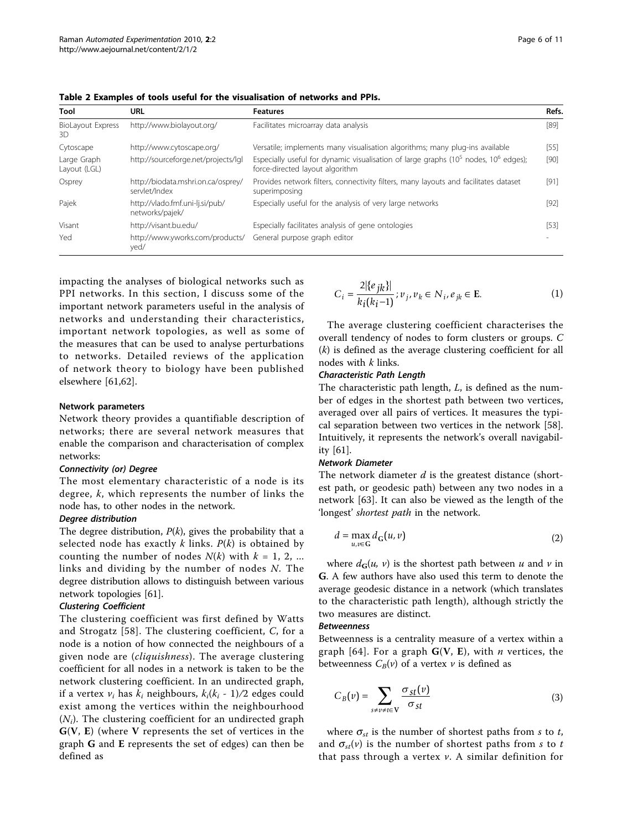<span id="page-5-0"></span>

|  |  |  | Table 2 Examples of tools useful for the visualisation of networks and PPIs. |
|--|--|--|------------------------------------------------------------------------------|
|--|--|--|------------------------------------------------------------------------------|

| Tool                        | URL                                                 | <b>Features</b>                                                                                                                                | Refs. |
|-----------------------------|-----------------------------------------------------|------------------------------------------------------------------------------------------------------------------------------------------------|-------|
| BioLayout Express<br>3D     | http://www.biolayout.org/                           | Facilitates microarray data analysis                                                                                                           | [89]  |
| Cytoscape                   | http://www.cytoscape.org/                           | Versatile; implements many visualisation algorithms; many plug-ins available                                                                   | [55]  |
| Large Graph<br>Layout (LGL) | http://sourceforge.net/projects/lgl                 | Especially useful for dynamic visualisation of large graphs (10 <sup>5</sup> nodes, 10 <sup>6</sup> edges);<br>force-directed layout algorithm | [90]  |
| Osprey                      | http://biodata.mshri.on.ca/osprey/<br>servlet/Index | Provides network filters, connectivity filters, many layouts and facilitates dataset<br>superimposing                                          | [91]  |
| Pajek                       | http://vlado.fmf.uni-lj.si/pub/<br>networks/pajek/  | Especially useful for the analysis of very large networks                                                                                      | [92]  |
| Visant                      | http://visant.bu.edu/                               | Especially facilitates analysis of gene ontologies                                                                                             | [53]  |
| Yed                         | http://www.yworks.com/products/<br>yed/             | General purpose graph editor                                                                                                                   |       |

impacting the analyses of biological networks such as PPI networks. In this section, I discuss some of the important network parameters useful in the analysis of networks and understanding their characteristics, important network topologies, as well as some of the measures that can be used to analyse perturbations to networks. Detailed reviews of the application of network theory to biology have been published elsewhere [[61,62\]](#page-9-0).

#### Network parameters

Network theory provides a quantifiable description of networks; there are several network measures that enable the comparison and characterisation of complex networks:

#### Connectivity (or) Degree

The most elementary characteristic of a node is its degree,  $k$ , which represents the number of links the node has, to other nodes in the network.

# Degree distribution

The degree distribution,  $P(k)$ , gives the probability that a selected node has exactly k links.  $P(k)$  is obtained by counting the number of nodes  $N(k)$  with  $k = 1, 2, ...$ links and dividing by the number of nodes N. The degree distribution allows to distinguish between various network topologies [\[61\]](#page-9-0).

#### Clustering Coefficient

The clustering coefficient was first defined by Watts and Strogatz [[58](#page-9-0)]. The clustering coefficient, C, for a node is a notion of how connected the neighbours of a given node are (cliquishness). The average clustering coefficient for all nodes in a network is taken to be the network clustering coefficient. In an undirected graph, if a vertex  $v_i$  has  $k_i$  neighbours,  $k_i (k_i$  - 1)/2 edges could exist among the vertices within the neighbourhood  $(N_i)$ . The clustering coefficient for an undirected graph  $G(V, E)$  (where V represents the set of vertices in the graph G and E represents the set of edges) can then be defined as

$$
C_i = \frac{2|\{e_{jk}\}|}{k_i(k_i - 1)}; v_j, v_k \in N_i, e_{jk} \in \mathbf{E}.
$$
 (1)

The average clustering coefficient characterises the overall tendency of nodes to form clusters or groups. C  $(k)$  is defined as the average clustering coefficient for all nodes with  $k$  links.

# Characteristic Path Length

The characteristic path length, L, is defined as the number of edges in the shortest path between two vertices, averaged over all pairs of vertices. It measures the typical separation between two vertices in the network [\[58](#page-9-0)]. Intuitively, it represents the network's overall navigability [\[61\]](#page-9-0).

#### Network Diameter

The network diameter  $d$  is the greatest distance (shortest path, or geodesic path) between any two nodes in a network [\[63](#page-9-0)]. It can also be viewed as the length of the 'longest' shortest path in the network.

$$
d = \max_{u,v \in \mathcal{G}} d_{\mathcal{G}}(u,v) \tag{2}
$$

where  $d_G(u, v)$  is the shortest path between u and v in G. A few authors have also used this term to denote the average geodesic distance in a network (which translates to the characteristic path length), although strictly the two measures are distinct.

#### Betweenness

Betweenness is a centrality measure of a vertex within a graph [[64](#page-9-0)]. For a graph  $G(V, E)$ , with *n* vertices, the betweenness  $C_B(v)$  of a vertex  $v$  is defined as

$$
C_B(v) = \sum_{s \neq v \neq t \in V} \frac{\sigma_{st}(v)}{\sigma_{st}}
$$
(3)

where  $\sigma_{st}$  is the number of shortest paths from s to t, and  $\sigma_{st}(v)$  is the number of shortest paths from s to t that pass through a vertex  $\nu$ . A similar definition for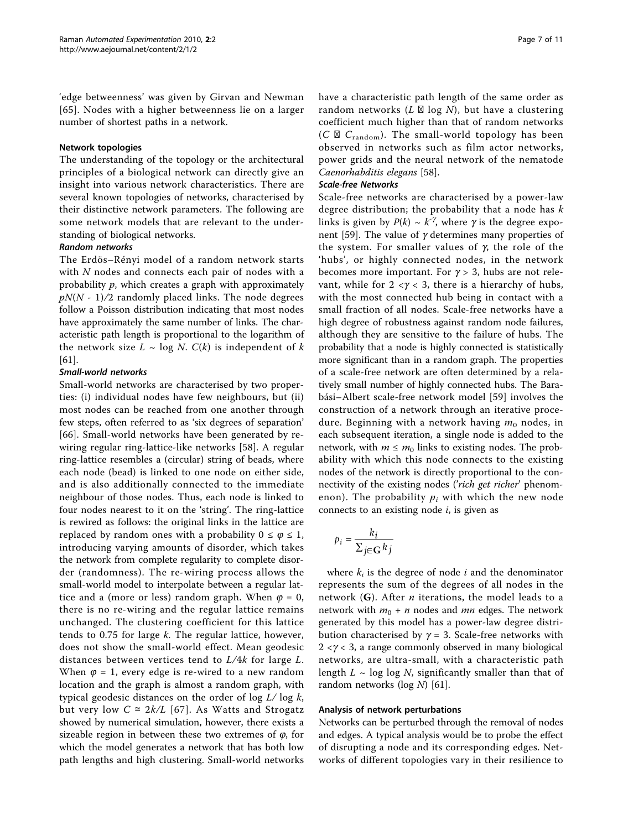'edge betweenness' was given by Girvan and Newman [[65](#page-9-0)]. Nodes with a higher betweenness lie on a larger number of shortest paths in a network.

# Network topologies

The understanding of the topology or the architectural principles of a biological network can directly give an insight into various network characteristics. There are several known topologies of networks, characterised by their distinctive network parameters. The following are some network models that are relevant to the understanding of biological networks.

# Random networks

The Erdös–Rényi model of a random network starts with N nodes and connects each pair of nodes with a probability  $p$ , which creates a graph with approximately  $pN(N-1)/2$  randomly placed links. The node degrees follow a Poisson distribution indicating that most nodes have approximately the same number of links. The characteristic path length is proportional to the logarithm of the network size  $L \sim \log N$ .  $C(k)$  is independent of k [[61\]](#page-9-0).

# Small-world networks

Small-world networks are characterised by two properties: (i) individual nodes have few neighbours, but (ii) most nodes can be reached from one another through few steps, often referred to as 'six degrees of separation' [[66](#page-9-0)]. Small-world networks have been generated by rewiring regular ring-lattice-like networks [[58\]](#page-9-0). A regular ring-lattice resembles a (circular) string of beads, where each node (bead) is linked to one node on either side, and is also additionally connected to the immediate neighbour of those nodes. Thus, each node is linked to four nodes nearest to it on the 'string'. The ring-lattice is rewired as follows: the original links in the lattice are replaced by random ones with a probability  $0 \le \varphi \le 1$ , introducing varying amounts of disorder, which takes the network from complete regularity to complete disorder (randomness). The re-wiring process allows the small-world model to interpolate between a regular lattice and a (more or less) random graph. When  $\varphi = 0$ , there is no re-wiring and the regular lattice remains unchanged. The clustering coefficient for this lattice tends to  $0.75$  for large  $k$ . The regular lattice, however, does not show the small-world effect. Mean geodesic distances between vertices tend to  $L/4k$  for large  $L$ . When  $\varphi = 1$ , every edge is re-wired to a new random location and the graph is almost a random graph, with typical geodesic distances on the order of  $\log L / \log k$ , but very low  $C \approx 2k/L$  [[67](#page-9-0)]. As Watts and Strogatz showed by numerical simulation, however, there exists a sizeable region in between these two extremes of  $\varphi$ , for which the model generates a network that has both low path lengths and high clustering. Small-world networks have a characteristic path length of the same order as random networks ( $L \boxtimes \log N$ ), but have a clustering coefficient much higher than that of random networks (C  $\mathbb{Z}$  C<sub>random</sub>). The small-world topology has been observed in networks such as film actor networks, power grids and the neural network of the nematode Caenorhabditis elegans [\[58](#page-9-0)].

# Scale-free Networks

Scale-free networks are characterised by a power-law degree distribution; the probability that a node has  $k$ links is given by  $P(k) \sim k^{\gamma}$ , where  $\gamma$  is the degree expo-nent [[59\]](#page-9-0). The value of  $\gamma$  determines many properties of the system. For smaller values of  $\gamma$ , the role of the 'hubs', or highly connected nodes, in the network becomes more important. For  $\gamma > 3$ , hubs are not relevant, while for  $2 < \gamma < 3$ , there is a hierarchy of hubs, with the most connected hub being in contact with a small fraction of all nodes. Scale-free networks have a high degree of robustness against random node failures, although they are sensitive to the failure of hubs. The probability that a node is highly connected is statistically more significant than in a random graph. The properties of a scale-free network are often determined by a relatively small number of highly connected hubs. The Barabási–Albert scale-free network model [\[59](#page-9-0)] involves the construction of a network through an iterative procedure. Beginning with a network having  $m_0$  nodes, in each subsequent iteration, a single node is added to the network, with  $m \leq m_0$  links to existing nodes. The probability with which this node connects to the existing nodes of the network is directly proportional to the connectivity of the existing nodes ('rich get richer' phenomenon). The probability  $p_i$  with which the new node connects to an existing node  $i$ , is given as

$$
p_i = \frac{k_i}{\sum_{j \in \mathbf{G}} k_j}
$$

where  $k_i$  is the degree of node  $i$  and the denominator represents the sum of the degrees of all nodes in the network  $(G)$ . After *n* iterations, the model leads to a network with  $m_0 + n$  nodes and *mn* edges. The network generated by this model has a power-law degree distribution characterised by  $\gamma$  = 3. Scale-free networks with  $2 < \gamma < 3$ , a range commonly observed in many biological networks, are ultra-small, with a characteristic path length  $L \sim \log \log N$ , significantly smaller than that of random networks ( $log N$ ) [[61](#page-9-0)].

### Analysis of network perturbations

Networks can be perturbed through the removal of nodes and edges. A typical analysis would be to probe the effect of disrupting a node and its corresponding edges. Networks of different topologies vary in their resilience to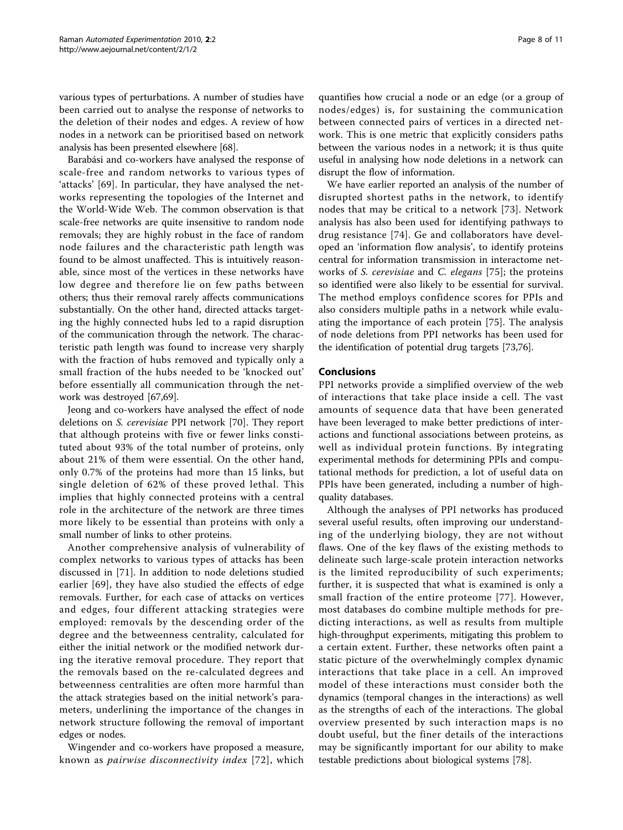various types of perturbations. A number of studies have been carried out to analyse the response of networks to the deletion of their nodes and edges. A review of how nodes in a network can be prioritised based on network analysis has been presented elsewhere [\[68\]](#page-9-0).

Barabási and co-workers have analysed the response of scale-free and random networks to various types of 'attacks' [[69\]](#page-9-0). In particular, they have analysed the networks representing the topologies of the Internet and the World-Wide Web. The common observation is that scale-free networks are quite insensitive to random node removals; they are highly robust in the face of random node failures and the characteristic path length was found to be almost unaffected. This is intuitively reasonable, since most of the vertices in these networks have low degree and therefore lie on few paths between others; thus their removal rarely affects communications substantially. On the other hand, directed attacks targeting the highly connected hubs led to a rapid disruption of the communication through the network. The characteristic path length was found to increase very sharply with the fraction of hubs removed and typically only a small fraction of the hubs needed to be 'knocked out' before essentially all communication through the network was destroyed [\[67,69\]](#page-9-0).

Jeong and co-workers have analysed the effect of node deletions on S. cerevisiae PPI network [\[70](#page-9-0)]. They report that although proteins with five or fewer links constituted about 93% of the total number of proteins, only about 21% of them were essential. On the other hand, only 0.7% of the proteins had more than 15 links, but single deletion of 62% of these proved lethal. This implies that highly connected proteins with a central role in the architecture of the network are three times more likely to be essential than proteins with only a small number of links to other proteins.

Another comprehensive analysis of vulnerability of complex networks to various types of attacks has been discussed in [\[71](#page-9-0)]. In addition to node deletions studied earlier [[69](#page-9-0)], they have also studied the effects of edge removals. Further, for each case of attacks on vertices and edges, four different attacking strategies were employed: removals by the descending order of the degree and the betweenness centrality, calculated for either the initial network or the modified network during the iterative removal procedure. They report that the removals based on the re-calculated degrees and betweenness centralities are often more harmful than the attack strategies based on the initial network's parameters, underlining the importance of the changes in network structure following the removal of important edges or nodes.

Wingender and co-workers have proposed a measure, known as pairwise disconnectivity index [[72\]](#page-9-0), which

quantifies how crucial a node or an edge (or a group of nodes/edges) is, for sustaining the communication between connected pairs of vertices in a directed network. This is one metric that explicitly considers paths between the various nodes in a network; it is thus quite useful in analysing how node deletions in a network can disrupt the flow of information.

We have earlier reported an analysis of the number of disrupted shortest paths in the network, to identify nodes that may be critical to a network [[73\]](#page-9-0). Network analysis has also been used for identifying pathways to drug resistance [[74](#page-10-0)]. Ge and collaborators have developed an 'information flow analysis', to identify proteins central for information transmission in interactome networks of S. cerevisiae and C. elegans [[75](#page-10-0)]; the proteins so identified were also likely to be essential for survival. The method employs confidence scores for PPIs and also considers multiple paths in a network while evaluating the importance of each protein [[75\]](#page-10-0). The analysis of node deletions from PPI networks has been used for the identification of potential drug targets [\[73](#page-9-0)[,76](#page-10-0)].

# Conclusions

PPI networks provide a simplified overview of the web of interactions that take place inside a cell. The vast amounts of sequence data that have been generated have been leveraged to make better predictions of interactions and functional associations between proteins, as well as individual protein functions. By integrating experimental methods for determining PPIs and computational methods for prediction, a lot of useful data on PPIs have been generated, including a number of highquality databases.

Although the analyses of PPI networks has produced several useful results, often improving our understanding of the underlying biology, they are not without flaws. One of the key flaws of the existing methods to delineate such large-scale protein interaction networks is the limited reproducibility of such experiments; further, it is suspected that what is examined is only a small fraction of the entire proteome [[77](#page-10-0)]. However, most databases do combine multiple methods for predicting interactions, as well as results from multiple high-throughput experiments, mitigating this problem to a certain extent. Further, these networks often paint a static picture of the overwhelmingly complex dynamic interactions that take place in a cell. An improved model of these interactions must consider both the dynamics (temporal changes in the interactions) as well as the strengths of each of the interactions. The global overview presented by such interaction maps is no doubt useful, but the finer details of the interactions may be significantly important for our ability to make testable predictions about biological systems [\[78](#page-10-0)].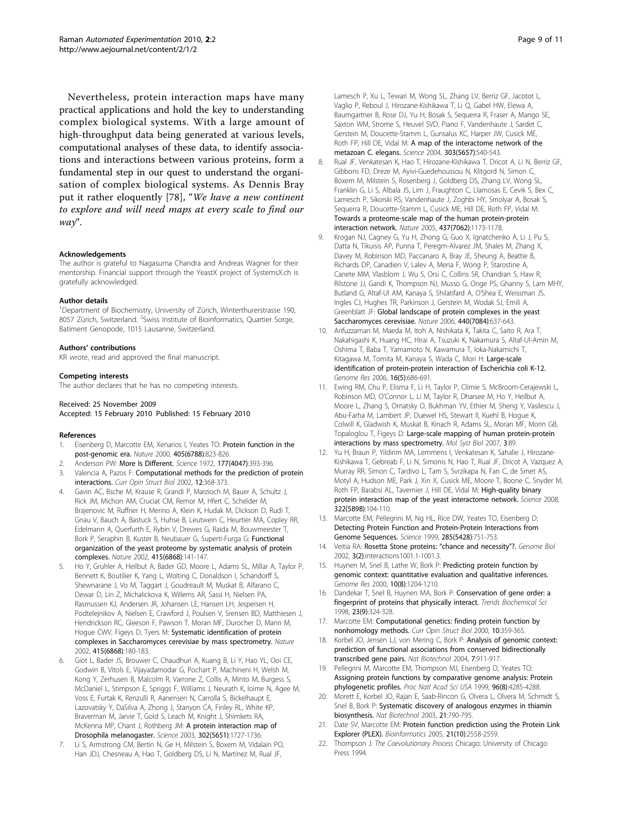<span id="page-8-0"></span>Nevertheless, protein interaction maps have many practical applications and hold the key to understanding complex biological systems. With a large amount of high-throughput data being generated at various levels, computational analyses of these data, to identify associations and interactions between various proteins, form a fundamental step in our quest to understand the organisation of complex biological systems. As Dennis Bray put it rather eloquently [[78\]](#page-10-0), "We have a new continent to explore and will need maps at every scale to find our way".

#### Acknowledgements

The author is grateful to Nagasuma Chandra and Andreas Wagner for their mentorship. Financial support through the YeastX project of SystemsX.ch is gratefully acknowledged.

#### Author details

<sup>1</sup>Department of Biochemistry, University of Zürich, Winterthurerstrasse 190, 8057 Zürich, Switzerland. <sup>2</sup>Swiss Institute of Bioinformatics, Quartier Sorge, Batiment Genopode, 1015 Lausanne, Switzerland.

#### Authors' contributions

KR wrote, read and approved the final manuscript.

#### Competing interests

The author declares that he has no competing interests.

#### Received: 25 November 2009

Accepted: 15 February 2010 Published: 15 February 2010

#### References

- 1. Eisenberg D, Marcotte EM, Xenarios I, Yeates TO: [Protein function in the](http://www.ncbi.nlm.nih.gov/pubmed/10866208?dopt=Abstract) [post-genomic era.](http://www.ncbi.nlm.nih.gov/pubmed/10866208?dopt=Abstract) Nature 2000, 405(6788):823-826.
- Anderson PW: [More Is Different.](http://www.ncbi.nlm.nih.gov/pubmed/17796623?dopt=Abstract) Science 1972, 177(4047):393-396.
- 3. Valencia A, Pazos F: [Computational methods for the prediction of protein](http://www.ncbi.nlm.nih.gov/pubmed/12127457?dopt=Abstract) [interactions.](http://www.ncbi.nlm.nih.gov/pubmed/12127457?dopt=Abstract) Curr Opin Struct Biol 2002, 12:368-373.
- Gavin AC, Bsche M, Krause R, Grandi P, Marzioch M, Bauer A, Schultz J, Rick JM, Michon AM, Cruciat CM, Remor M, Hfert C, Schelder M, Brajenovic M, Ruffner H, Merino A, Klein K, Hudak M, Dickson D, Rudi T, Gnau V, Bauch A, Bastuck S, Huhse B, Leutwein C, Heurtier MA, Copley RR, Edelmann A, Querfurth E, Rybin V, Drewes G, Raida M, Bouwmeester T, Bork P, Seraphin B, Kuster B, Neubauer G, Superti-Furga G: [Functional](http://www.ncbi.nlm.nih.gov/pubmed/11805826?dopt=Abstract) [organization of the yeast proteome by systematic analysis of protein](http://www.ncbi.nlm.nih.gov/pubmed/11805826?dopt=Abstract) [complexes.](http://www.ncbi.nlm.nih.gov/pubmed/11805826?dopt=Abstract) Nature 2002, 415(6868):141-147.
- 5. Ho Y, Gruhler A, Heilbut A, Bader GD, Moore L, Adams SL, Millar A, Taylor P, Bennett K, Boutilier K, Yang L, Wolting C, Donaldson I, Schandorff S, Shewnarane J, Vo M, Taggart J, Goudreault M, Muskat B, Alfarano C, Dewar D, Lin Z, Michalickova K, Willems AR, Sassi H, Nielsen PA, Rasmussen KJ, Andersen JR, Johansen LE, Hansen LH, Jespersen H, Podtelejnikov A, Nielsen E, Crawford J, Poulsen V, Srensen BD, Matthiesen J, Hendrickson RC, Gleeson F, Pawson T, Moran MF, Durocher D, Mann M, Hogue CWV, Figeys D, Tyers M: [Systematic identification of protein](http://www.ncbi.nlm.nih.gov/pubmed/11805837?dopt=Abstract) [complexes in Saccharomyces cerevisiae by mass spectrometry.](http://www.ncbi.nlm.nih.gov/pubmed/11805837?dopt=Abstract) Nature 2002, 415(6868):180-183.
- Giot L, Bader JS, Brouwer C, Chaudhuri A, Kuang B, Li Y, Hao YL, Ooi CE, Godwin B, Vitols E, Vijayadamodar G, Pochart P, Machineni H, Welsh M, Kong Y, Zerhusen B, Malcolm R, Varrone Z, Collis A, Minto M, Burgess S, McDaniel L, Stimpson E, Spriggs F, Williams J, Neurath K, Ioime N, Agee M, Voss E, Furtak K, Renzulli R, Aanensen N, Carrolla S, Bickelhaupt E, Lazovatsky Y, DaSilva A, Zhong J, Stanyon CA, Finley RL, White KP, Braverman M, Jarvie T, Gold S, Leach M, Knight J, Shimkets RA, McKenna MP, Chant J, Rothberg JM: [A protein interaction map of](http://www.ncbi.nlm.nih.gov/pubmed/14605208?dopt=Abstract) [Drosophila melanogaster.](http://www.ncbi.nlm.nih.gov/pubmed/14605208?dopt=Abstract) Science 2003, 302(5651):1727-1736.
- Li S, Armstrong CM, Bertin N, Ge H, Milstein S, Boxem M, Vidalain PO, Han JDJ, Chesneau A, Hao T, Goldberg DS, Li N, Martinez M, Rual JF,

Lamesch P, Xu L, Tewari M, Wong SL, Zhang LV, Berriz GF, Jacotot L, Vaglio P, Reboul J, Hirozane-Kishikawa T, Li Q, Gabel HW, Elewa A, Baumgartner B, Rose DJ, Yu H, Bosak S, Sequerra R, Fraser A, Mango SE, Saxton WM, Strome S, Heuvel SVD, Piano F, Vandenhaute J, Sardet C, Gerstein M, Doucette-Stamm L, Gunsalus KC, Harper JW, Cusick ME, Roth FP, Hill DE, Vidal M: [A map of the interactome network of the](http://www.ncbi.nlm.nih.gov/pubmed/14704431?dopt=Abstract) [metazoan C. elegans.](http://www.ncbi.nlm.nih.gov/pubmed/14704431?dopt=Abstract) Science 2004, 303(5657):540-543.

- 8. Rual JF, Venkatesan K, Hao T, Hirozane-Kishikawa T, Dricot A, Li N, Berriz GF, Gibbons FD, Dreze M, Ayivi-Guedehoussou N, Klitgord N, Simon C, Boxem M, Milstein S, Rosenberg J, Goldberg DS, Zhang LV, Wong SL, Franklin G, Li S, Albala JS, Lim J, Fraughton C, Llamosas E, Cevik S, Bex C, Lamesch P, Sikorski RS, Vandenhaute J, Zoghbi HY, Smolyar A, Bosak S, Sequerra R, Doucette-Stamm L, Cusick ME, Hill DE, Roth FP, Vidal M: [Towards a proteome-scale map of the human protein-protein](http://www.ncbi.nlm.nih.gov/pubmed/16189514?dopt=Abstract) [interaction network.](http://www.ncbi.nlm.nih.gov/pubmed/16189514?dopt=Abstract) Nature 2005, 437(7062):1173-1178.
- 9. Krogan NJ, Cagney G, Yu H, Zhong G, Guo X, Ignatchenko A, Li J, Pu S, Datta N, Tikuisis AP, Punna T, Peregrn-Alvarez JM, Shales M, Zhang X, Davey M, Robinson MD, Paccanaro A, Bray JE, Sheung A, Beattie B, Richards DP, Canadien V, Lalev A, Mena F, Wong P, Starostine A, Canete MM, Vlasblom J, Wu S, Orsi C, Collins SR, Chandran S, Haw R, Rilstone JJ, Gandi K, Thompson NJ, Musso G, Onge PS, Ghanny S, Lam MHY, Butland G, Altaf-Ul AM, Kanaya S, Shilatifard A, O'Shea E, Weissman JS, Ingles CJ, Hughes TR, Parkinson J, Gerstein M, Wodak SJ, Emili A, Greenblatt JF: [Global landscape of protein complexes in the yeast](http://www.ncbi.nlm.nih.gov/pubmed/16554755?dopt=Abstract) [Saccharomyces cerevisiae.](http://www.ncbi.nlm.nih.gov/pubmed/16554755?dopt=Abstract) Nature 2006, 440(7084):637-643.
- 10. Arifuzzaman M, Maeda M, Itoh A, Nishikata K, Takita C, Saito R, Ara T, Nakahigashi K, Huang HC, Hirai A, Tsuzuki K, Nakamura S, Altaf-Ul-Amin M, Oshima T, Baba T, Yamamoto N, Kawamura T, Ioka-Nakamichi T, Kitagawa M, Tomita M, Kanaya S, Wada C, Mori H: [Large-scale](http://www.ncbi.nlm.nih.gov/pubmed/16606699?dopt=Abstract) [identification of protein-protein interaction of Escherichia coli K-12.](http://www.ncbi.nlm.nih.gov/pubmed/16606699?dopt=Abstract) Genome Res 2006, 16(5):686-691.
- 11. Ewing RM, Chu P, Elisma F, Li H, Taylor P, Climie S, McBroom-Cerajewski L, Robinson MD, O'Connor L, Li M, Taylor R, Dharsee M, Ho Y, Heilbut A, Moore L, Zhang S, Ornatsky O, Bukhman YV, Ethier M, Sheng Y, Vasilescu J, Abu-Farha M, Lambert JP, Duewel HS, Stewart II, Kuehl B, Hogue K, Colwill K, Gladwish K, Muskat B, Kinach R, Adams SL, Moran MF, Morin GB, Topaloglou T, Figeys D: [Large-scale mapping of human protein-protein](http://www.ncbi.nlm.nih.gov/pubmed/17353931?dopt=Abstract) [interactions by mass spectrometry.](http://www.ncbi.nlm.nih.gov/pubmed/17353931?dopt=Abstract) Mol Syst Biol 2007, 3:89.
- 12. Yu H, Braun P, Yildirim MA, Lemmens I, Venkatesan K, Sahalie J, Hirozane-Kishikawa T, Gebreab F, Li N, Simonis N, Hao T, Rual JF, Dricot A, Vazquez A, Murray RR, Simon C, Tardivo L, Tam S, Svrzikapa N, Fan C, de Smet AS, Motyl A, Hudson ME, Park J, Xin X, Cusick ME, Moore T, Boone C, Snyder M, Roth FP, Barabsi AL, Tavernier J, Hill DE, Vidal M: [High-quality binary](http://www.ncbi.nlm.nih.gov/pubmed/18719252?dopt=Abstract) [protein interaction map of the yeast interactome network.](http://www.ncbi.nlm.nih.gov/pubmed/18719252?dopt=Abstract) Science 2008, 322(5898):104-110.
- 13. Marcotte EM, Pellegrini M, Ng HL, Rice DW, Yeates TO, Eisenberg D: [Detecting Protein Function and Protein-Protein Interactions from](http://www.ncbi.nlm.nih.gov/pubmed/10427000?dopt=Abstract) [Genome Sequences.](http://www.ncbi.nlm.nih.gov/pubmed/10427000?dopt=Abstract) Science 1999, 285(5428):751-753.
- 14. Veitia RA: Rosetta Stone proteins: "chance and necessity"?. Genome Biol 2002, 3(2):interactions1001.1-1001.3.
- 15. Huynen M, Snel B, Lathe W, Bork P: [Predicting protein function by](http://www.ncbi.nlm.nih.gov/pubmed/10958638?dopt=Abstract) [genomic context: quantitative evaluation and qualitative inferences.](http://www.ncbi.nlm.nih.gov/pubmed/10958638?dopt=Abstract) Genome Res 2000, 10(8):1204-1210.
- 16. Dandekar T, Snel B, Huynen MA, Bork P: Conservation of gene order: a fingerprint of proteins that physically interact. Trends Biochemical Sci 1998, 23(9):324-328.
- 17. Marcotte EM: [Computational genetics: finding protein function by](http://www.ncbi.nlm.nih.gov/pubmed/10851184?dopt=Abstract) [nonhomology methods.](http://www.ncbi.nlm.nih.gov/pubmed/10851184?dopt=Abstract) Curr Opin Struct Biol 2000, 10:359-365.
- 18. Korbel JO, Jensen LJ, von Mering C, Bork P: Analysis of genomic context: prediction of functional associations from conserved bidirectionally transcribed gene pairs. Nat Biotechnol 2004, 7:911-917.
- 19. Pellegrini M, Marcotte EM, Thompson MJ, Eisenberg D, Yeates TO: [Assigning protein functions by comparative genome analysis: Protein](http://www.ncbi.nlm.nih.gov/pubmed/10200254?dopt=Abstract) [phylogenetic profiles.](http://www.ncbi.nlm.nih.gov/pubmed/10200254?dopt=Abstract) Proc Natl Acad Sci USA 1999, 96(8):4285-4288.
- 20. Morett E, Korbel JO, Rajan E, Saab-Rincon G, Olvera L, Olvera M, Schmidt S, Snel B, Bork P: [Systematic discovery of analogous enzymes in thiamin](http://www.ncbi.nlm.nih.gov/pubmed/12794638?dopt=Abstract) [biosynthesis.](http://www.ncbi.nlm.nih.gov/pubmed/12794638?dopt=Abstract) Nat Biotechnol 2003, 21:790-795.
- 21. Date SV, Marcotte EM: [Protein function prediction using the Protein Link](http://www.ncbi.nlm.nih.gov/pubmed/15701682?dopt=Abstract) [Explorer \(PLEX\).](http://www.ncbi.nlm.nih.gov/pubmed/15701682?dopt=Abstract) Bioinformatics 2005, 21(10):2558-2559.
- 22. Thompson J: The Coevolutionary Process Chicago: University of Chicago Press 1994.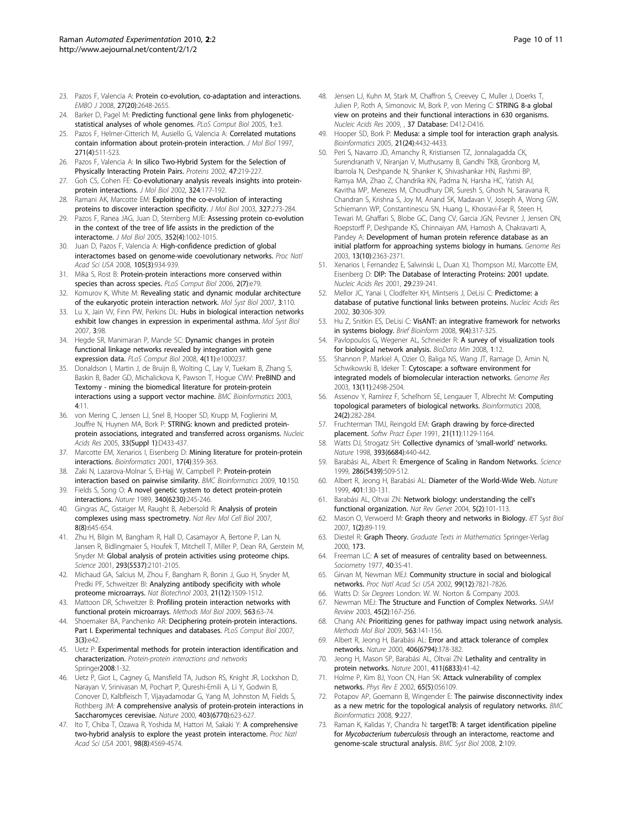- <span id="page-9-0"></span>23. Pazos F, Valencia A: [Protein co-evolution, co-adaptation and interactions.](http://www.ncbi.nlm.nih.gov/pubmed/18818697?dopt=Abstract) EMBO J 2008, 27(20):2648-2655.
- 24. Barker D, Pagel M: [Predicting functional gene links from phylogenetic](http://www.ncbi.nlm.nih.gov/pubmed/16103904?dopt=Abstract)[statistical analyses of whole genomes.](http://www.ncbi.nlm.nih.gov/pubmed/16103904?dopt=Abstract) PLoS Comput Biol 2005, 1:e3.
- 25. Pazos F, Helmer-Citterich M, Ausiello G, Valencia A: [Correlated mutations](http://www.ncbi.nlm.nih.gov/pubmed/9281423?dopt=Abstract) [contain information about protein-protein interaction.](http://www.ncbi.nlm.nih.gov/pubmed/9281423?dopt=Abstract) J Mol Biol 1997, 271(4):511-523.
- 26. Pazos F, Valencia A: [In silico Two-Hybrid System for the Selection of](http://www.ncbi.nlm.nih.gov/pubmed/11933068?dopt=Abstract) [Physically Interacting Protein Pairs.](http://www.ncbi.nlm.nih.gov/pubmed/11933068?dopt=Abstract) Proteins 2002, 47:219-227.
- 27. Goh CS, Cohen FE: [Co-evolutionary analysis reveals insights into protein](http://www.ncbi.nlm.nih.gov/pubmed/12421567?dopt=Abstract)[protein interactions.](http://www.ncbi.nlm.nih.gov/pubmed/12421567?dopt=Abstract) J Mol Biol 2002, 324:177-192.
- 28. Ramani AK, Marcotte EM: [Exploiting the co-evolution of interacting](http://www.ncbi.nlm.nih.gov/pubmed/12614624?dopt=Abstract) [proteins to discover interaction specificity.](http://www.ncbi.nlm.nih.gov/pubmed/12614624?dopt=Abstract) J Mol Biol 2003, 327:273-284.
- 29. Pazos F, Ranea JAG, Juan D, Sternberg MJE: [Assessing protein co-evolution](http://www.ncbi.nlm.nih.gov/pubmed/16139301?dopt=Abstract) [in the context of the tree of life assists in the prediction of the](http://www.ncbi.nlm.nih.gov/pubmed/16139301?dopt=Abstract) [interactome.](http://www.ncbi.nlm.nih.gov/pubmed/16139301?dopt=Abstract) J Mol Biol 2005, 352(4):1002-1015.
- 30. Juan D, Pazos F, Valencia A: [High-confidence prediction of global](http://www.ncbi.nlm.nih.gov/pubmed/18199838?dopt=Abstract) [interactomes based on genome-wide coevolutionary networks.](http://www.ncbi.nlm.nih.gov/pubmed/18199838?dopt=Abstract) Proc Natl Acad Sci USA 2008, 105(3):934-939.
- 31. Mika S, Rost B: [Protein-protein interactions more conserved within](http://www.ncbi.nlm.nih.gov/pubmed/16854211?dopt=Abstract) [species than across species.](http://www.ncbi.nlm.nih.gov/pubmed/16854211?dopt=Abstract) PLoS Comput Biol 2006, 2(7):e79.
- 32. Komurov K, White M: [Revealing static and dynamic modular architecture](http://www.ncbi.nlm.nih.gov/pubmed/17453049?dopt=Abstract) [of the eukaryotic protein interaction network.](http://www.ncbi.nlm.nih.gov/pubmed/17453049?dopt=Abstract) Mol Syst Biol 2007, 3:110.
- 33. Lu X, Jain W, Finn PW, Perkins DL: [Hubs in biological interaction networks](http://www.ncbi.nlm.nih.gov/pubmed/17437023?dopt=Abstract) [exhibit low changes in expression in experimental asthma.](http://www.ncbi.nlm.nih.gov/pubmed/17437023?dopt=Abstract) Mol Syst Biol 2007, 3:98.
- 34. Hegde SR, Manimaran P, Mande SC: [Dynamic changes in protein](http://www.ncbi.nlm.nih.gov/pubmed/19043542?dopt=Abstract) [functional linkage networks revealed by integration with gene](http://www.ncbi.nlm.nih.gov/pubmed/19043542?dopt=Abstract) [expression data.](http://www.ncbi.nlm.nih.gov/pubmed/19043542?dopt=Abstract) PLoS Comput Biol 2008, 4(11):e1000237.
- 35. Donaldson I, Martin J, de Bruijn B, Wolting C, Lay V, Tuekam B, Zhang S, Baskin B, Bader GD, Michalickova K, Pawson T, Hogue CWV: [PreBIND and](http://www.ncbi.nlm.nih.gov/pubmed/12689350?dopt=Abstract) [Textomy - mining the biomedical literature for protein-protein](http://www.ncbi.nlm.nih.gov/pubmed/12689350?dopt=Abstract) [interactions using a support vector machine.](http://www.ncbi.nlm.nih.gov/pubmed/12689350?dopt=Abstract) BMC Bioinformatics 2003, 4:11.
- 36. von Mering C, Jensen LJ, Snel B, Hooper SD, Krupp M, Foglierini M, Jouffre N, Huynen MA, Bork P: [STRING: known and predicted protein](http://www.ncbi.nlm.nih.gov/pubmed/15608232?dopt=Abstract)[protein associations, integrated and transferred across organisms.](http://www.ncbi.nlm.nih.gov/pubmed/15608232?dopt=Abstract) Nucleic Acids Res 2005, 33(Suppl 1):D433-437.
- 37. Marcotte EM, Xenarios I, Eisenberg D: [Mining literature for protein-protein](http://www.ncbi.nlm.nih.gov/pubmed/11301305?dopt=Abstract) [interactions.](http://www.ncbi.nlm.nih.gov/pubmed/11301305?dopt=Abstract) Bioinformatics 2001, 17(4):359-363.
- 38. Zaki N, Lazarova-Molnar S, El-Hajj W, Campbell P: [Protein-protein](http://www.ncbi.nlm.nih.gov/pubmed/19445721?dopt=Abstract) [interaction based on pairwise similarity.](http://www.ncbi.nlm.nih.gov/pubmed/19445721?dopt=Abstract) BMC Bioinformatics 2009, 10:150.
- 39. Fields S, Song O: [A novel genetic system to detect protein-protein](http://www.ncbi.nlm.nih.gov/pubmed/2547163?dopt=Abstract) [interactions.](http://www.ncbi.nlm.nih.gov/pubmed/2547163?dopt=Abstract) Nature 1989, 340(6230):245-246.
- 40. Gingras AC, Gstaiger M, Raught B, Aebersold R: [Analysis of protein](http://www.ncbi.nlm.nih.gov/pubmed/17593931?dopt=Abstract) [complexes using mass spectrometry.](http://www.ncbi.nlm.nih.gov/pubmed/17593931?dopt=Abstract) Nat Rev Mol Cell Biol 2007, 8(8):645-654.
- 41. Zhu H, Bilgin M, Bangham R, Hall D, Casamayor A, Bertone P, Lan N, Jansen R, Bidlingmaier S, Houfek T, Mitchell T, Miller P, Dean RA, Gerstein M, Snyder M: [Global analysis of protein activities using proteome chips.](http://www.ncbi.nlm.nih.gov/pubmed/11474067?dopt=Abstract) Science 2001, 293(5537):2101-2105.
- 42. Michaud GA, Salcius M, Zhou F, Bangham R, Bonin J, Guo H, Snyder M, Predki PF, Schweitzer BI: [Analyzing antibody specificity with whole](http://www.ncbi.nlm.nih.gov/pubmed/14608365?dopt=Abstract) [proteome microarrays.](http://www.ncbi.nlm.nih.gov/pubmed/14608365?dopt=Abstract) Nat Biotechnol 2003, 21(12):1509-1512.
- 43. Mattoon DR, Schweitzer B: [Profiling protein interaction networks with](http://www.ncbi.nlm.nih.gov/pubmed/19597780?dopt=Abstract) [functional protein microarrays.](http://www.ncbi.nlm.nih.gov/pubmed/19597780?dopt=Abstract) Methods Mol Biol 2009, 563:63-74.
- 44. Shoemaker BA, Panchenko AR: [Deciphering protein-protein interactions.](http://www.ncbi.nlm.nih.gov/pubmed/17397251?dopt=Abstract) [Part I. Experimental techniques and databases.](http://www.ncbi.nlm.nih.gov/pubmed/17397251?dopt=Abstract) PLoS Comput Biol 2007, 3(3):e42.
- 45. Uetz P: Experimental methods for protein interaction identification and characterization. Protein-protein interactions and networks Springer2008:1-32.
- 46. Uetz P, Giot L, Cagney G, Mansfield TA, Judson RS, Knight JR, Lockshon D, Narayan V, Srinivasan M, Pochart P, Qureshi-Emili A, Li Y, Godwin B, Conover D, Kalbfleisch T, Vijayadamodar G, Yang M, Johnston M, Fields S, Rothberg JM: [A comprehensive analysis of protein-protein interactions in](http://www.ncbi.nlm.nih.gov/pubmed/10688190?dopt=Abstract) [Saccharomyces cerevisiae.](http://www.ncbi.nlm.nih.gov/pubmed/10688190?dopt=Abstract) Nature 2000, 403(6770):623-627.
- 47. Ito T, Chiba T, Ozawa R, Yoshida M, Hattori M, Sakaki Y: [A comprehensive](http://www.ncbi.nlm.nih.gov/pubmed/11283351?dopt=Abstract) [two-hybrid analysis to explore the yeast protein interactome.](http://www.ncbi.nlm.nih.gov/pubmed/11283351?dopt=Abstract) Proc Natl Acad Sci USA 2001, 98(8):4569-4574.
- 48. Jensen LJ, Kuhn M, Stark M, Chaffron S, Creevey C, Muller J, Doerks T, Julien P, Roth A, Simonovic M, Bork P, von Mering C: [STRING 8-a global](http://www.ncbi.nlm.nih.gov/pubmed/18940858?dopt=Abstract) [view on proteins and their functional interactions in 630 organisms.](http://www.ncbi.nlm.nih.gov/pubmed/18940858?dopt=Abstract) Nucleic Acids Res 2009, , 37 Database: D412-D416.
- 49. Hooper SD, Bork P: [Medusa: a simple tool for interaction graph analysis.](http://www.ncbi.nlm.nih.gov/pubmed/16188923?dopt=Abstract) Bioinformatics 2005, 21(24):4432-4433.
- 50. Peri S, Navarro JD, Amanchy R, Kristiansen TZ, Jonnalagadda CK, Surendranath V, Niranjan V, Muthusamy B, Gandhi TKB, Gronborg M, Ibarrola N, Deshpande N, Shanker K, Shivashankar HN, Rashmi BP, Ramya MA, Zhao Z, Chandrika KN, Padma N, Harsha HC, Yatish AJ, Kavitha MP, Menezes M, Choudhury DR, Suresh S, Ghosh N, Saravana R, Chandran S, Krishna S, Joy M, Anand SK, Madavan V, Joseph A, Wong GW, Schiemann WP, Constantinescu SN, Huang L, Khosravi-Far R, Steen H, Tewari M, Ghaffari S, Blobe GC, Dang CV, Garcia JGN, Pevsner J, Jensen ON, Roepstorff P, Deshpande KS, Chinnaiyan AM, Hamosh A, Chakravarti A, Pandey A: [Development of human protein reference database as an](http://www.ncbi.nlm.nih.gov/pubmed/14525934?dopt=Abstract) [initial platform for approaching systems biology in humans.](http://www.ncbi.nlm.nih.gov/pubmed/14525934?dopt=Abstract) Genome Res 2003, 13(10):2363-2371.
- 51. Xenarios I, Fernandez E, Salwinski L, Duan XJ, Thompson MJ, Marcotte EM, Eisenberg D: [DIP: The Database of Interacting Proteins: 2001 update.](http://www.ncbi.nlm.nih.gov/pubmed/11125102?dopt=Abstract) Nucleic Acids Res 2001, 29:239-241.
- 52. Mellor JC, Yanai I, Clodfelter KH, Mintseris J, DeLisi C: [Predictome: a](http://www.ncbi.nlm.nih.gov/pubmed/11752322?dopt=Abstract) [database of putative functional links between proteins.](http://www.ncbi.nlm.nih.gov/pubmed/11752322?dopt=Abstract) Nucleic Acids Res 2002, 30:306-309.
- 53. Hu Z, Snitkin ES, DeLisi C: [VisANT: an integrative framework for networks](http://www.ncbi.nlm.nih.gov/pubmed/18463131?dopt=Abstract) [in systems biology.](http://www.ncbi.nlm.nih.gov/pubmed/18463131?dopt=Abstract) Brief Bioinform 2008, 9(4):317-325.
- Pavlopoulos G, Wegener AL, Schneider R: [A survey of visualization tools](http://www.ncbi.nlm.nih.gov/pubmed/19040716?dopt=Abstract) [for biological network analysis.](http://www.ncbi.nlm.nih.gov/pubmed/19040716?dopt=Abstract) BioData Min 2008, 1:12.
- 55. Shannon P, Markiel A, Ozier O, Baliga NS, Wang JT, Ramage D, Amin N, Schwikowski B, Ideker T: [Cytoscape: a software environment for](http://www.ncbi.nlm.nih.gov/pubmed/14597658?dopt=Abstract) [integrated models of biomolecular interaction networks.](http://www.ncbi.nlm.nih.gov/pubmed/14597658?dopt=Abstract) Genome Res 2003, 13(11):2498-2504.
- 56. Assenov Y, Ramírez F, Schelhorn SE, Lengauer T, Albrecht M: [Computing](http://www.ncbi.nlm.nih.gov/pubmed/18006545?dopt=Abstract) [topological parameters of biological networks.](http://www.ncbi.nlm.nih.gov/pubmed/18006545?dopt=Abstract) Bioinformatics 2008, 24(2):282-284.
- 57. Fruchterman TMJ, Reingold EM: Graph drawing by force-directed placement. Softw Pract Exper 1991, 21(11):1129-1164.
- 58. Watts DJ, Strogatz SH: [Collective dynamics of](http://www.ncbi.nlm.nih.gov/pubmed/9623998?dopt=Abstract) 'small-world' networks. Nature 1998, 393(6684):440-442.
- 59. Barabási AL, Albert R: [Emergence of Scaling in Random Networks.](http://www.ncbi.nlm.nih.gov/pubmed/10521342?dopt=Abstract) Science 1999, 286(5439):509-512.
- 60. Albert R, Jeong H, Barabási AL: Diameter of the World-Wide Web. Nature 1999, 401:130-131.
- 61. Barabási AL, Oltvai ZN: [Network biology: understanding the cell](http://www.ncbi.nlm.nih.gov/pubmed/14735121?dopt=Abstract)'s [functional organization.](http://www.ncbi.nlm.nih.gov/pubmed/14735121?dopt=Abstract) Nat Rev Genet 2004, 5(2):101-113.
- 62. Mason O, Verwoerd M: [Graph theory and networks in Biology.](http://www.ncbi.nlm.nih.gov/pubmed/17441552?dopt=Abstract) IET Syst Biol 2007, 1(2):89-119.
- 63. Diestel R: Graph Theory. Graduate Texts in Mathematics Springer-Verlag 2000, 173.
- 64. Freeman LC: A set of measures of centrality based on betweenness. Sociometry 1977, 40:35-41.
- 65. Girvan M, Newman MEJ: [Community structure in social and biological](http://www.ncbi.nlm.nih.gov/pubmed/12060727?dopt=Abstract) [networks.](http://www.ncbi.nlm.nih.gov/pubmed/12060727?dopt=Abstract) Proc Natl Acad Sci USA 2002, 99(12):7821-7826.
- 66. Watts D: Six Degrees London: W. W. Norton & Company 2003.
- 67. Newman MEJ: The Structure and Function of Complex Networks. SIAM Review 2003, 45(2):167-256.
- 68. Chang AN: [Prioritizing genes for pathway impact using network analysis.](http://www.ncbi.nlm.nih.gov/pubmed/19597784?dopt=Abstract) Methods Mol Biol 2009, 563:141-156.
- 69. Albert R, Jeong H, Barabási AL: [Error and attack tolerance of complex](http://www.ncbi.nlm.nih.gov/pubmed/10935628?dopt=Abstract) [networks.](http://www.ncbi.nlm.nih.gov/pubmed/10935628?dopt=Abstract) Nature 2000, 406(6794):378-382.
- 70. Jeong H, Mason SP, Barabási AL, Oltvai ZN: [Lethality and centrality in](http://www.ncbi.nlm.nih.gov/pubmed/11333967?dopt=Abstract) [protein networks.](http://www.ncbi.nlm.nih.gov/pubmed/11333967?dopt=Abstract) Nature 2001, 411(6833):41-42.
- 71. Holme P, Kim BJ, Yoon CN, Han SK: Attack vulnerability of complex networks. Phys Rev E 2002, 65(5):056109.
- 72. Potapov AP, Goemann B, Wingender E: [The pairwise disconnectivity index](http://www.ncbi.nlm.nih.gov/pubmed/18454847?dopt=Abstract) [as a new metric for the topological analysis of regulatory networks.](http://www.ncbi.nlm.nih.gov/pubmed/18454847?dopt=Abstract) BMC Bioinformatics 2008, 9:227.
- 73. Raman K, Kalidas Y, Chandra N: [targetTB: A target identification pipeline](http://www.ncbi.nlm.nih.gov/pubmed/19099550?dopt=Abstract) for Mycobacterium tuberculosis [through an interactome, reactome and](http://www.ncbi.nlm.nih.gov/pubmed/19099550?dopt=Abstract) [genome-scale structural analysis.](http://www.ncbi.nlm.nih.gov/pubmed/19099550?dopt=Abstract) BMC Syst Biol 2008, 2:109.